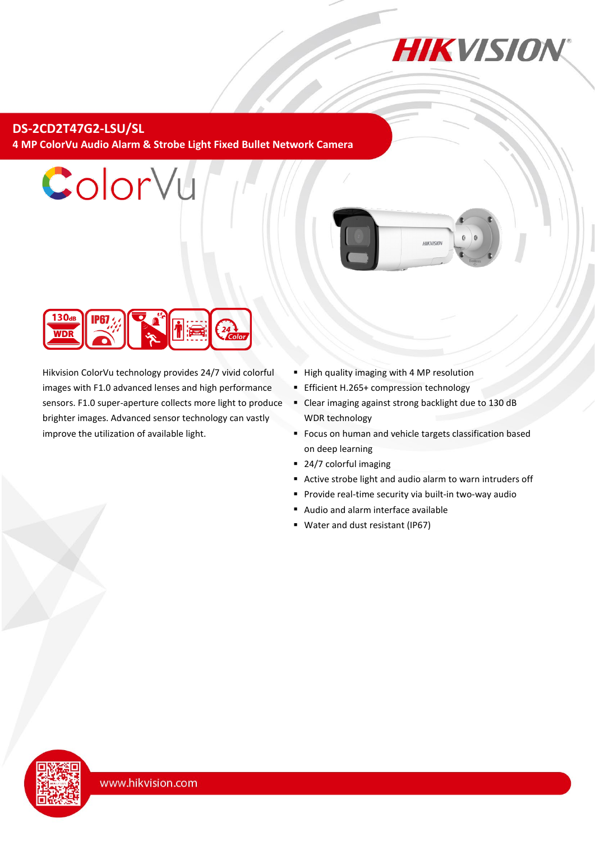

### **DS-2CD2T47G2-LSU/SL 4 MP ColorVu Audio Alarm & Strobe Light Fixed Bullet Network Camera**



ColorVu

Hikvision ColorVu technology provides 24/7 vivid colorful images with F1.0 advanced lenses and high performance sensors. F1.0 super-aperture collects more light to produce brighter images. Advanced sensor technology can vastly improve the utilization of available light.

- High quality imaging with 4 MP resolution
- **Efficient H.265+ compression technology**
- Clear imaging against strong backlight due to 130 dB WDR technology
- **Focus on human and vehicle targets classification based** on deep learning

**HIKVISION** 

- 24/7 colorful imaging
- Active strobe light and audio alarm to warn intruders off
- **Provide real-time security via built-in two-way audio**
- Audio and alarm interface available
- Water and dust resistant (IP67)

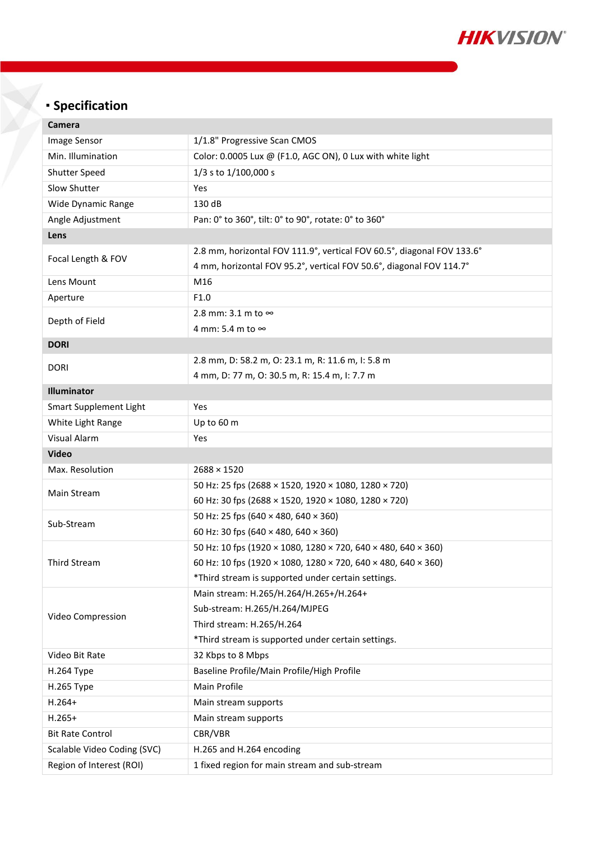

# **Specification**

| Camera                                                  |                                                                           |  |  |
|---------------------------------------------------------|---------------------------------------------------------------------------|--|--|
| Image Sensor                                            | 1/1.8" Progressive Scan CMOS                                              |  |  |
| Min. Illumination                                       | Color: 0.0005 Lux @ (F1.0, AGC ON), 0 Lux with white light                |  |  |
| Shutter Speed                                           | 1/3 s to 1/100,000 s                                                      |  |  |
| Slow Shutter                                            | Yes                                                                       |  |  |
| Wide Dynamic Range                                      | 130 dB                                                                    |  |  |
| Angle Adjustment                                        | Pan: 0° to 360°, tilt: 0° to 90°, rotate: 0° to 360°                      |  |  |
| Lens                                                    |                                                                           |  |  |
| Focal Length & FOV                                      | 2.8 mm, horizontal FOV 111.9°, vertical FOV 60.5°, diagonal FOV 133.6°    |  |  |
|                                                         | 4 mm, horizontal FOV 95.2°, vertical FOV 50.6°, diagonal FOV 114.7°       |  |  |
| Lens Mount                                              | M16                                                                       |  |  |
| Aperture                                                | F1.0                                                                      |  |  |
| Depth of Field                                          | 2.8 mm: 3.1 m to $\infty$                                                 |  |  |
|                                                         | 4 mm: 5.4 m to ∞                                                          |  |  |
| <b>DORI</b>                                             |                                                                           |  |  |
| <b>DORI</b>                                             | 2.8 mm, D: 58.2 m, O: 23.1 m, R: 11.6 m, I: 5.8 m                         |  |  |
|                                                         | 4 mm, D: 77 m, O: 30.5 m, R: 15.4 m, I: 7.7 m                             |  |  |
| Illuminator                                             |                                                                           |  |  |
| Smart Supplement Light                                  | Yes                                                                       |  |  |
| White Light Range                                       | Up to 60 m                                                                |  |  |
| Visual Alarm                                            | Yes                                                                       |  |  |
| <b>Video</b>                                            |                                                                           |  |  |
| Max. Resolution                                         | $2688 \times 1520$                                                        |  |  |
| Main Stream                                             | 50 Hz: 25 fps (2688 × 1520, 1920 × 1080, 1280 × 720)                      |  |  |
|                                                         | 60 Hz: 30 fps (2688 × 1520, 1920 × 1080, 1280 × 720)                      |  |  |
| Sub-Stream                                              | 50 Hz: 25 fps (640 × 480, 640 × 360)                                      |  |  |
|                                                         | 60 Hz: 30 fps (640 × 480, 640 × 360)                                      |  |  |
|                                                         |                                                                           |  |  |
|                                                         | 50 Hz: 10 fps (1920 × 1080, 1280 × 720, 640 × 480, 640 × 360)             |  |  |
| <b>Third Stream</b>                                     | 60 Hz: 10 fps (1920 × 1080, 1280 × 720, 640 × 480, 640 × 360)             |  |  |
|                                                         | *Third stream is supported under certain settings.                        |  |  |
|                                                         | Main stream: H.265/H.264/H.265+/H.264+                                    |  |  |
|                                                         | Sub-stream: H.265/H.264/MJPEG                                             |  |  |
| Video Compression                                       | Third stream: H.265/H.264                                                 |  |  |
|                                                         | *Third stream is supported under certain settings.                        |  |  |
| Video Bit Rate                                          | 32 Kbps to 8 Mbps                                                         |  |  |
| H.264 Type                                              | Baseline Profile/Main Profile/High Profile                                |  |  |
| H.265 Type                                              | Main Profile                                                              |  |  |
| $H.264+$                                                | Main stream supports                                                      |  |  |
| $H.265+$                                                | Main stream supports                                                      |  |  |
| <b>Bit Rate Control</b>                                 | CBR/VBR                                                                   |  |  |
| Scalable Video Coding (SVC)<br>Region of Interest (ROI) | H.265 and H.264 encoding<br>1 fixed region for main stream and sub-stream |  |  |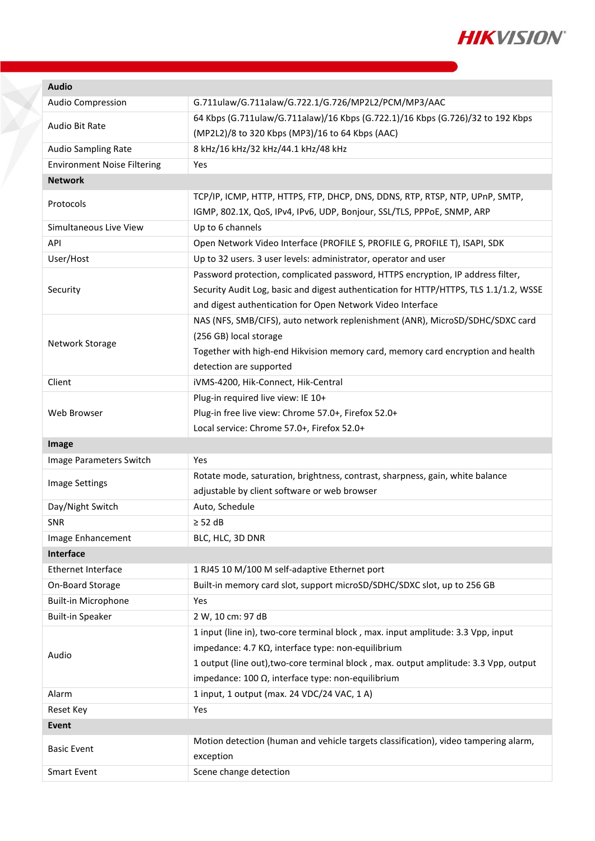

| <b>Audio</b>                       |                                                                                                  |  |  |  |
|------------------------------------|--------------------------------------------------------------------------------------------------|--|--|--|
| <b>Audio Compression</b>           | G.711ulaw/G.711alaw/G.722.1/G.726/MP2L2/PCM/MP3/AAC                                              |  |  |  |
|                                    | 64 Kbps (G.711ulaw/G.711alaw)/16 Kbps (G.722.1)/16 Kbps (G.726)/32 to 192 Kbps                   |  |  |  |
| Audio Bit Rate                     | (MP2L2)/8 to 320 Kbps (MP3)/16 to 64 Kbps (AAC)                                                  |  |  |  |
| Audio Sampling Rate                | 8 kHz/16 kHz/32 kHz/44.1 kHz/48 kHz                                                              |  |  |  |
| <b>Environment Noise Filtering</b> | Yes                                                                                              |  |  |  |
| <b>Network</b>                     |                                                                                                  |  |  |  |
|                                    | TCP/IP, ICMP, HTTP, HTTPS, FTP, DHCP, DNS, DDNS, RTP, RTSP, NTP, UPnP, SMTP,                     |  |  |  |
| Protocols                          | IGMP, 802.1X, QoS, IPv4, IPv6, UDP, Bonjour, SSL/TLS, PPPoE, SNMP, ARP                           |  |  |  |
| Simultaneous Live View             | Up to 6 channels                                                                                 |  |  |  |
| API                                | Open Network Video Interface (PROFILE S, PROFILE G, PROFILE T), ISAPI, SDK                       |  |  |  |
| User/Host                          | Up to 32 users. 3 user levels: administrator, operator and user                                  |  |  |  |
|                                    | Password protection, complicated password, HTTPS encryption, IP address filter,                  |  |  |  |
| Security                           | Security Audit Log, basic and digest authentication for HTTP/HTTPS, TLS 1.1/1.2, WSSE            |  |  |  |
|                                    | and digest authentication for Open Network Video Interface                                       |  |  |  |
|                                    | NAS (NFS, SMB/CIFS), auto network replenishment (ANR), MicroSD/SDHC/SDXC card                    |  |  |  |
|                                    | (256 GB) local storage                                                                           |  |  |  |
| Network Storage                    | Together with high-end Hikvision memory card, memory card encryption and health                  |  |  |  |
|                                    | detection are supported                                                                          |  |  |  |
| Client                             | iVMS-4200, Hik-Connect, Hik-Central                                                              |  |  |  |
|                                    | Plug-in required live view: IE 10+                                                               |  |  |  |
| Web Browser                        | Plug-in free live view: Chrome 57.0+, Firefox 52.0+                                              |  |  |  |
|                                    | Local service: Chrome 57.0+, Firefox 52.0+                                                       |  |  |  |
|                                    |                                                                                                  |  |  |  |
| Image                              |                                                                                                  |  |  |  |
| Image Parameters Switch            | Yes                                                                                              |  |  |  |
|                                    | Rotate mode, saturation, brightness, contrast, sharpness, gain, white balance                    |  |  |  |
| Image Settings                     | adjustable by client software or web browser                                                     |  |  |  |
| Day/Night Switch                   | Auto, Schedule                                                                                   |  |  |  |
| <b>SNR</b>                         | $\geq$ 52 dB                                                                                     |  |  |  |
| Image Enhancement                  | BLC, HLC, 3D DNR                                                                                 |  |  |  |
| Interface                          |                                                                                                  |  |  |  |
| <b>Ethernet Interface</b>          | 1 RJ45 10 M/100 M self-adaptive Ethernet port                                                    |  |  |  |
| On-Board Storage                   | Built-in memory card slot, support microSD/SDHC/SDXC slot, up to 256 GB                          |  |  |  |
| <b>Built-in Microphone</b>         | Yes                                                                                              |  |  |  |
| <b>Built-in Speaker</b>            | 2 W, 10 cm: 97 dB                                                                                |  |  |  |
|                                    | 1 input (line in), two-core terminal block, max. input amplitude: 3.3 Vpp, input                 |  |  |  |
|                                    | impedance: 4.7 KΩ, interface type: non-equilibrium                                               |  |  |  |
| Audio                              | 1 output (line out), two-core terminal block, max. output amplitude: 3.3 Vpp, output             |  |  |  |
|                                    | impedance: 100 $\Omega$ , interface type: non-equilibrium                                        |  |  |  |
| Alarm                              | 1 input, 1 output (max. 24 VDC/24 VAC, 1 A)                                                      |  |  |  |
| Reset Key                          | Yes                                                                                              |  |  |  |
| Event                              |                                                                                                  |  |  |  |
| <b>Basic Event</b>                 | Motion detection (human and vehicle targets classification), video tampering alarm,<br>exception |  |  |  |
| <b>Smart Event</b>                 | Scene change detection                                                                           |  |  |  |

Y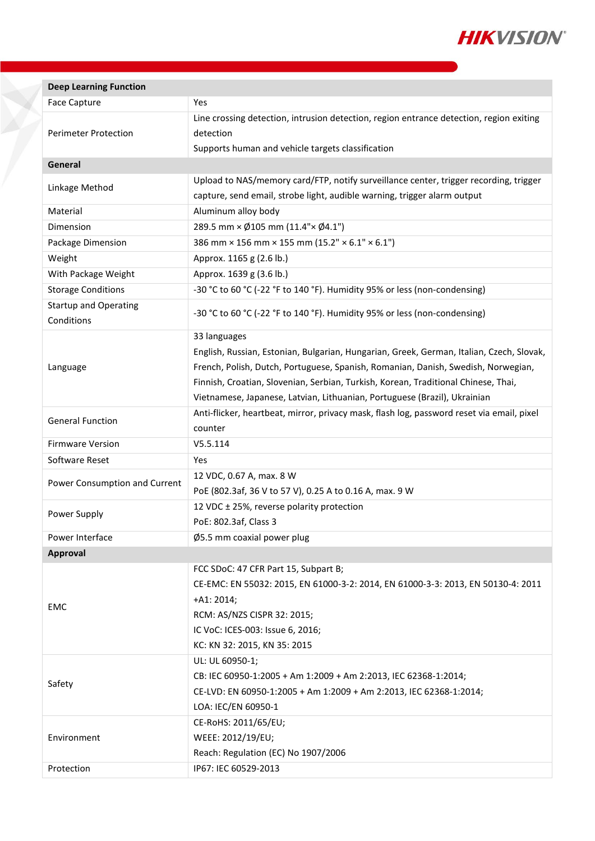

| Yes<br><b>Face Capture</b><br>Line crossing detection, intrusion detection, region entrance detection, region exiting<br>detection<br><b>Perimeter Protection</b><br>Supports human and vehicle targets classification<br>General<br>Upload to NAS/memory card/FTP, notify surveillance center, trigger recording, trigger<br>Linkage Method<br>capture, send email, strobe light, audible warning, trigger alarm output<br>Material<br>Aluminum alloy body<br>289.5 mm × Ø105 mm (11.4"× Ø4.1")<br>Dimension<br>386 mm × 156 mm × 155 mm (15.2" × 6.1" × 6.1")<br>Package Dimension<br>Approx. 1165 g (2.6 lb.)<br>Weight<br>With Package Weight<br>Approx. 1639 g (3.6 lb.)<br>-30 °C to 60 °C (-22 °F to 140 °F). Humidity 95% or less (non-condensing)<br><b>Storage Conditions</b><br><b>Startup and Operating</b><br>-30 °C to 60 °C (-22 °F to 140 °F). Humidity 95% or less (non-condensing)<br>Conditions<br>33 languages<br>English, Russian, Estonian, Bulgarian, Hungarian, Greek, German, Italian, Czech, Slovak,<br>French, Polish, Dutch, Portuguese, Spanish, Romanian, Danish, Swedish, Norwegian,<br>Language<br>Finnish, Croatian, Slovenian, Serbian, Turkish, Korean, Traditional Chinese, Thai,<br>Vietnamese, Japanese, Latvian, Lithuanian, Portuguese (Brazil), Ukrainian<br>Anti-flicker, heartbeat, mirror, privacy mask, flash log, password reset via email, pixel<br><b>General Function</b><br>counter<br><b>Firmware Version</b><br>V5.5.114<br>Software Reset<br>Yes<br>12 VDC, 0.67 A, max. 8 W<br>Power Consumption and Current<br>PoE (802.3af, 36 V to 57 V), 0.25 A to 0.16 A, max. 9 W<br>12 VDC ± 25%, reverse polarity protection<br>Power Supply<br>PoE: 802.3af, Class 3<br>Power Interface<br>$\varnothing$ 5.5 mm coaxial power plug<br>Approval<br>FCC SDoC: 47 CFR Part 15, Subpart B;<br>CE-EMC: EN 55032: 2015, EN 61000-3-2: 2014, EN 61000-3-3: 2013, EN 50130-4: 2011 |
|---------------------------------------------------------------------------------------------------------------------------------------------------------------------------------------------------------------------------------------------------------------------------------------------------------------------------------------------------------------------------------------------------------------------------------------------------------------------------------------------------------------------------------------------------------------------------------------------------------------------------------------------------------------------------------------------------------------------------------------------------------------------------------------------------------------------------------------------------------------------------------------------------------------------------------------------------------------------------------------------------------------------------------------------------------------------------------------------------------------------------------------------------------------------------------------------------------------------------------------------------------------------------------------------------------------------------------------------------------------------------------------------------------------------------------------------------------------------------------------------------------------------------------------------------------------------------------------------------------------------------------------------------------------------------------------------------------------------------------------------------------------------------------------------------------------------------------------------------------------------------------------------------------------------------|
|                                                                                                                                                                                                                                                                                                                                                                                                                                                                                                                                                                                                                                                                                                                                                                                                                                                                                                                                                                                                                                                                                                                                                                                                                                                                                                                                                                                                                                                                                                                                                                                                                                                                                                                                                                                                                                                                                                                           |
|                                                                                                                                                                                                                                                                                                                                                                                                                                                                                                                                                                                                                                                                                                                                                                                                                                                                                                                                                                                                                                                                                                                                                                                                                                                                                                                                                                                                                                                                                                                                                                                                                                                                                                                                                                                                                                                                                                                           |
|                                                                                                                                                                                                                                                                                                                                                                                                                                                                                                                                                                                                                                                                                                                                                                                                                                                                                                                                                                                                                                                                                                                                                                                                                                                                                                                                                                                                                                                                                                                                                                                                                                                                                                                                                                                                                                                                                                                           |
|                                                                                                                                                                                                                                                                                                                                                                                                                                                                                                                                                                                                                                                                                                                                                                                                                                                                                                                                                                                                                                                                                                                                                                                                                                                                                                                                                                                                                                                                                                                                                                                                                                                                                                                                                                                                                                                                                                                           |
|                                                                                                                                                                                                                                                                                                                                                                                                                                                                                                                                                                                                                                                                                                                                                                                                                                                                                                                                                                                                                                                                                                                                                                                                                                                                                                                                                                                                                                                                                                                                                                                                                                                                                                                                                                                                                                                                                                                           |
|                                                                                                                                                                                                                                                                                                                                                                                                                                                                                                                                                                                                                                                                                                                                                                                                                                                                                                                                                                                                                                                                                                                                                                                                                                                                                                                                                                                                                                                                                                                                                                                                                                                                                                                                                                                                                                                                                                                           |
|                                                                                                                                                                                                                                                                                                                                                                                                                                                                                                                                                                                                                                                                                                                                                                                                                                                                                                                                                                                                                                                                                                                                                                                                                                                                                                                                                                                                                                                                                                                                                                                                                                                                                                                                                                                                                                                                                                                           |
|                                                                                                                                                                                                                                                                                                                                                                                                                                                                                                                                                                                                                                                                                                                                                                                                                                                                                                                                                                                                                                                                                                                                                                                                                                                                                                                                                                                                                                                                                                                                                                                                                                                                                                                                                                                                                                                                                                                           |
|                                                                                                                                                                                                                                                                                                                                                                                                                                                                                                                                                                                                                                                                                                                                                                                                                                                                                                                                                                                                                                                                                                                                                                                                                                                                                                                                                                                                                                                                                                                                                                                                                                                                                                                                                                                                                                                                                                                           |
|                                                                                                                                                                                                                                                                                                                                                                                                                                                                                                                                                                                                                                                                                                                                                                                                                                                                                                                                                                                                                                                                                                                                                                                                                                                                                                                                                                                                                                                                                                                                                                                                                                                                                                                                                                                                                                                                                                                           |
|                                                                                                                                                                                                                                                                                                                                                                                                                                                                                                                                                                                                                                                                                                                                                                                                                                                                                                                                                                                                                                                                                                                                                                                                                                                                                                                                                                                                                                                                                                                                                                                                                                                                                                                                                                                                                                                                                                                           |
|                                                                                                                                                                                                                                                                                                                                                                                                                                                                                                                                                                                                                                                                                                                                                                                                                                                                                                                                                                                                                                                                                                                                                                                                                                                                                                                                                                                                                                                                                                                                                                                                                                                                                                                                                                                                                                                                                                                           |
|                                                                                                                                                                                                                                                                                                                                                                                                                                                                                                                                                                                                                                                                                                                                                                                                                                                                                                                                                                                                                                                                                                                                                                                                                                                                                                                                                                                                                                                                                                                                                                                                                                                                                                                                                                                                                                                                                                                           |
|                                                                                                                                                                                                                                                                                                                                                                                                                                                                                                                                                                                                                                                                                                                                                                                                                                                                                                                                                                                                                                                                                                                                                                                                                                                                                                                                                                                                                                                                                                                                                                                                                                                                                                                                                                                                                                                                                                                           |
|                                                                                                                                                                                                                                                                                                                                                                                                                                                                                                                                                                                                                                                                                                                                                                                                                                                                                                                                                                                                                                                                                                                                                                                                                                                                                                                                                                                                                                                                                                                                                                                                                                                                                                                                                                                                                                                                                                                           |
|                                                                                                                                                                                                                                                                                                                                                                                                                                                                                                                                                                                                                                                                                                                                                                                                                                                                                                                                                                                                                                                                                                                                                                                                                                                                                                                                                                                                                                                                                                                                                                                                                                                                                                                                                                                                                                                                                                                           |
|                                                                                                                                                                                                                                                                                                                                                                                                                                                                                                                                                                                                                                                                                                                                                                                                                                                                                                                                                                                                                                                                                                                                                                                                                                                                                                                                                                                                                                                                                                                                                                                                                                                                                                                                                                                                                                                                                                                           |
|                                                                                                                                                                                                                                                                                                                                                                                                                                                                                                                                                                                                                                                                                                                                                                                                                                                                                                                                                                                                                                                                                                                                                                                                                                                                                                                                                                                                                                                                                                                                                                                                                                                                                                                                                                                                                                                                                                                           |
|                                                                                                                                                                                                                                                                                                                                                                                                                                                                                                                                                                                                                                                                                                                                                                                                                                                                                                                                                                                                                                                                                                                                                                                                                                                                                                                                                                                                                                                                                                                                                                                                                                                                                                                                                                                                                                                                                                                           |
|                                                                                                                                                                                                                                                                                                                                                                                                                                                                                                                                                                                                                                                                                                                                                                                                                                                                                                                                                                                                                                                                                                                                                                                                                                                                                                                                                                                                                                                                                                                                                                                                                                                                                                                                                                                                                                                                                                                           |
|                                                                                                                                                                                                                                                                                                                                                                                                                                                                                                                                                                                                                                                                                                                                                                                                                                                                                                                                                                                                                                                                                                                                                                                                                                                                                                                                                                                                                                                                                                                                                                                                                                                                                                                                                                                                                                                                                                                           |
|                                                                                                                                                                                                                                                                                                                                                                                                                                                                                                                                                                                                                                                                                                                                                                                                                                                                                                                                                                                                                                                                                                                                                                                                                                                                                                                                                                                                                                                                                                                                                                                                                                                                                                                                                                                                                                                                                                                           |
|                                                                                                                                                                                                                                                                                                                                                                                                                                                                                                                                                                                                                                                                                                                                                                                                                                                                                                                                                                                                                                                                                                                                                                                                                                                                                                                                                                                                                                                                                                                                                                                                                                                                                                                                                                                                                                                                                                                           |
|                                                                                                                                                                                                                                                                                                                                                                                                                                                                                                                                                                                                                                                                                                                                                                                                                                                                                                                                                                                                                                                                                                                                                                                                                                                                                                                                                                                                                                                                                                                                                                                                                                                                                                                                                                                                                                                                                                                           |
|                                                                                                                                                                                                                                                                                                                                                                                                                                                                                                                                                                                                                                                                                                                                                                                                                                                                                                                                                                                                                                                                                                                                                                                                                                                                                                                                                                                                                                                                                                                                                                                                                                                                                                                                                                                                                                                                                                                           |
|                                                                                                                                                                                                                                                                                                                                                                                                                                                                                                                                                                                                                                                                                                                                                                                                                                                                                                                                                                                                                                                                                                                                                                                                                                                                                                                                                                                                                                                                                                                                                                                                                                                                                                                                                                                                                                                                                                                           |
|                                                                                                                                                                                                                                                                                                                                                                                                                                                                                                                                                                                                                                                                                                                                                                                                                                                                                                                                                                                                                                                                                                                                                                                                                                                                                                                                                                                                                                                                                                                                                                                                                                                                                                                                                                                                                                                                                                                           |
|                                                                                                                                                                                                                                                                                                                                                                                                                                                                                                                                                                                                                                                                                                                                                                                                                                                                                                                                                                                                                                                                                                                                                                                                                                                                                                                                                                                                                                                                                                                                                                                                                                                                                                                                                                                                                                                                                                                           |
|                                                                                                                                                                                                                                                                                                                                                                                                                                                                                                                                                                                                                                                                                                                                                                                                                                                                                                                                                                                                                                                                                                                                                                                                                                                                                                                                                                                                                                                                                                                                                                                                                                                                                                                                                                                                                                                                                                                           |
|                                                                                                                                                                                                                                                                                                                                                                                                                                                                                                                                                                                                                                                                                                                                                                                                                                                                                                                                                                                                                                                                                                                                                                                                                                                                                                                                                                                                                                                                                                                                                                                                                                                                                                                                                                                                                                                                                                                           |
|                                                                                                                                                                                                                                                                                                                                                                                                                                                                                                                                                                                                                                                                                                                                                                                                                                                                                                                                                                                                                                                                                                                                                                                                                                                                                                                                                                                                                                                                                                                                                                                                                                                                                                                                                                                                                                                                                                                           |
|                                                                                                                                                                                                                                                                                                                                                                                                                                                                                                                                                                                                                                                                                                                                                                                                                                                                                                                                                                                                                                                                                                                                                                                                                                                                                                                                                                                                                                                                                                                                                                                                                                                                                                                                                                                                                                                                                                                           |
| $+A1:2014;$                                                                                                                                                                                                                                                                                                                                                                                                                                                                                                                                                                                                                                                                                                                                                                                                                                                                                                                                                                                                                                                                                                                                                                                                                                                                                                                                                                                                                                                                                                                                                                                                                                                                                                                                                                                                                                                                                                               |
| <b>EMC</b><br>RCM: AS/NZS CISPR 32: 2015;                                                                                                                                                                                                                                                                                                                                                                                                                                                                                                                                                                                                                                                                                                                                                                                                                                                                                                                                                                                                                                                                                                                                                                                                                                                                                                                                                                                                                                                                                                                                                                                                                                                                                                                                                                                                                                                                                 |
| IC VoC: ICES-003: Issue 6, 2016;                                                                                                                                                                                                                                                                                                                                                                                                                                                                                                                                                                                                                                                                                                                                                                                                                                                                                                                                                                                                                                                                                                                                                                                                                                                                                                                                                                                                                                                                                                                                                                                                                                                                                                                                                                                                                                                                                          |
| KC: KN 32: 2015, KN 35: 2015                                                                                                                                                                                                                                                                                                                                                                                                                                                                                                                                                                                                                                                                                                                                                                                                                                                                                                                                                                                                                                                                                                                                                                                                                                                                                                                                                                                                                                                                                                                                                                                                                                                                                                                                                                                                                                                                                              |
| UL: UL 60950-1;                                                                                                                                                                                                                                                                                                                                                                                                                                                                                                                                                                                                                                                                                                                                                                                                                                                                                                                                                                                                                                                                                                                                                                                                                                                                                                                                                                                                                                                                                                                                                                                                                                                                                                                                                                                                                                                                                                           |
| CB: IEC 60950-1:2005 + Am 1:2009 + Am 2:2013, IEC 62368-1:2014;                                                                                                                                                                                                                                                                                                                                                                                                                                                                                                                                                                                                                                                                                                                                                                                                                                                                                                                                                                                                                                                                                                                                                                                                                                                                                                                                                                                                                                                                                                                                                                                                                                                                                                                                                                                                                                                           |
| Safety<br>CE-LVD: EN 60950-1:2005 + Am 1:2009 + Am 2:2013, IEC 62368-1:2014;                                                                                                                                                                                                                                                                                                                                                                                                                                                                                                                                                                                                                                                                                                                                                                                                                                                                                                                                                                                                                                                                                                                                                                                                                                                                                                                                                                                                                                                                                                                                                                                                                                                                                                                                                                                                                                              |
| LOA: IEC/EN 60950-1                                                                                                                                                                                                                                                                                                                                                                                                                                                                                                                                                                                                                                                                                                                                                                                                                                                                                                                                                                                                                                                                                                                                                                                                                                                                                                                                                                                                                                                                                                                                                                                                                                                                                                                                                                                                                                                                                                       |
| CE-RoHS: 2011/65/EU;                                                                                                                                                                                                                                                                                                                                                                                                                                                                                                                                                                                                                                                                                                                                                                                                                                                                                                                                                                                                                                                                                                                                                                                                                                                                                                                                                                                                                                                                                                                                                                                                                                                                                                                                                                                                                                                                                                      |
| WEEE: 2012/19/EU;<br>Environment                                                                                                                                                                                                                                                                                                                                                                                                                                                                                                                                                                                                                                                                                                                                                                                                                                                                                                                                                                                                                                                                                                                                                                                                                                                                                                                                                                                                                                                                                                                                                                                                                                                                                                                                                                                                                                                                                          |
| Reach: Regulation (EC) No 1907/2006                                                                                                                                                                                                                                                                                                                                                                                                                                                                                                                                                                                                                                                                                                                                                                                                                                                                                                                                                                                                                                                                                                                                                                                                                                                                                                                                                                                                                                                                                                                                                                                                                                                                                                                                                                                                                                                                                       |
| IP67: IEC 60529-2013<br>Protection                                                                                                                                                                                                                                                                                                                                                                                                                                                                                                                                                                                                                                                                                                                                                                                                                                                                                                                                                                                                                                                                                                                                                                                                                                                                                                                                                                                                                                                                                                                                                                                                                                                                                                                                                                                                                                                                                        |

Y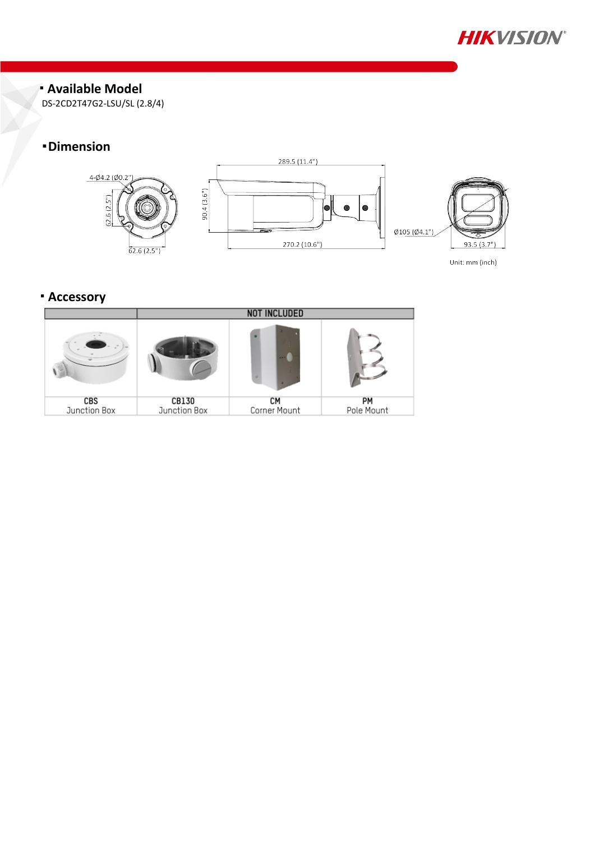

#### **Available Model**

DS-2CD2T47G2-LSU/SL (2.8/4)

# **Dimension**



Unit: mm (inch)

# **Accessory**

|              | <b>NOT INCLUDED</b> |              |            |  |
|--------------|---------------------|--------------|------------|--|
|              |                     |              |            |  |
| <b>CBS</b>   | CB130               | CМ           | PM         |  |
| Junction Box | Junction Box        | Corner Mount | Pole Mount |  |